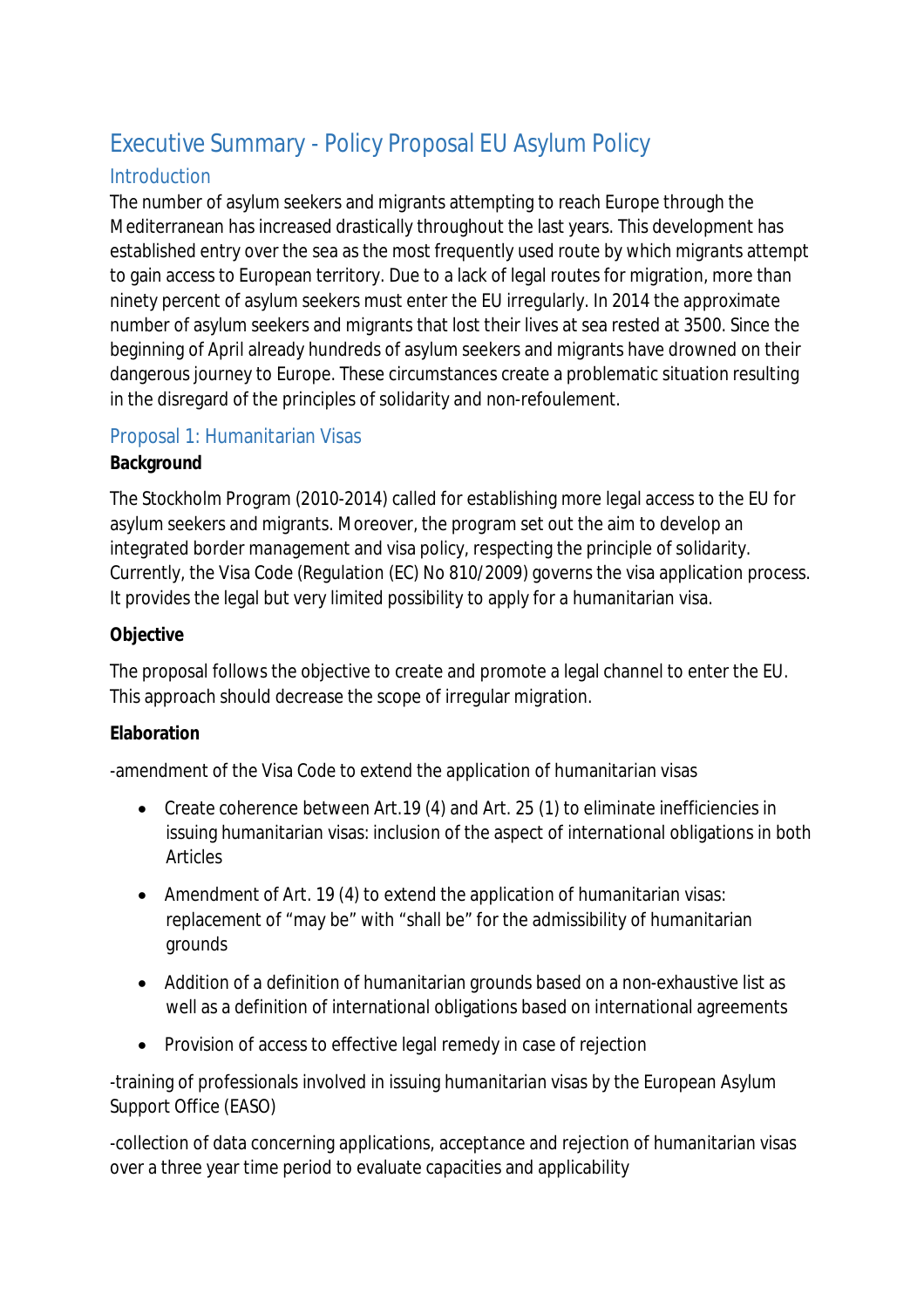# Executive Summary - Policy Proposal EU Asylum Policy

## **Introduction**

The number of asylum seekers and migrants attempting to reach Europe through the Mediterranean has increased drastically throughout the last years. This development has established entry over the sea as the most frequently used route by which migrants attempt to gain access to European territory. Due to a lack of legal routes for migration, more than ninety percent of asylum seekers must enter the EU irregularly. In 2014 the approximate number of asylum seekers and migrants that lost their lives at sea rested at 3500. Since the beginning of April already hundreds of asylum seekers and migrants have drowned on their dangerous journey to Europe. These circumstances create a problematic situation resulting in the disregard of the principles of solidarity and non-refoulement.

## Proposal 1: Humanitarian Visas

## **Background**

The Stockholm Program (2010-2014) called for establishing more legal access to the EU for asylum seekers and migrants. Moreover, the program set out the aim to develop an integrated border management and visa policy, respecting the principle of solidarity. Currently, the Visa Code (Regulation (EC) No 810/2009) governs the visa application process. It provides the legal but very limited possibility to apply for a humanitarian visa.

## **Objective**

The proposal follows the objective to create and promote a legal channel to enter the EU. This approach should decrease the scope of irregular migration.

## **Elaboration**

-amendment of the Visa Code to extend the application of humanitarian visas

- Create coherence between Art.19 (4) and Art. 25 (1) to eliminate inefficiencies in issuing humanitarian visas: inclusion of the aspect of international obligations in both Articles
- Amendment of Art. 19 (4) to extend the application of humanitarian visas: replacement of "may be" with "shall be" for the admissibility of humanitarian grounds
- Addition of a definition of humanitarian grounds based on a non-exhaustive list as well as a definition of international obligations based on international agreements
- Provision of access to effective legal remedy in case of rejection

-training of professionals involved in issuing humanitarian visas by the European Asylum Support Office (EASO)

-collection of data concerning applications, acceptance and rejection of humanitarian visas over a three year time period to evaluate capacities and applicability